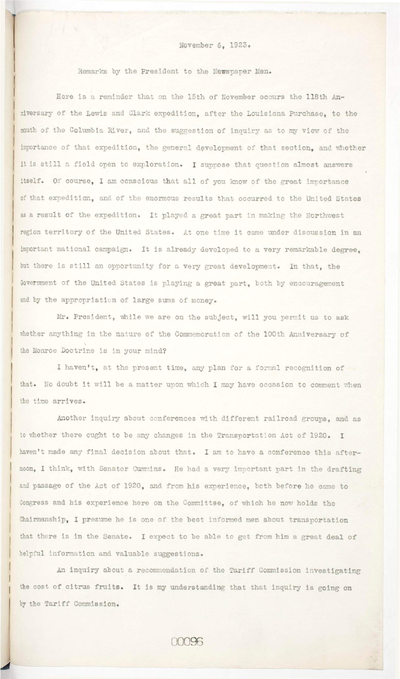## **November 6, 1923.**

**Remarks by the President to the Newspaper Men.** 

Here is a reminder that on the 15th of November occurs the 118th Anniversary of the Lewis and Clark expedition, after the Louisiana Purchase, to the **mouth of the Columbia River, and the suggestion of inquiry as to my view of the importance of that expedition, the general development of that section, and whether**  it is still a field open to exploration. I suppose that question almost answers itself. Of course, I am conscious that all of you know of the great importance **of that expedition, and of the enormous results that occurred to the United States**  as a result of the expedition. It played a great part in making the Northwest **region territor y of the United States. At one time i t came under discussion i n an**  important national campaign. It is already developed to a very remarkable degree, but there is still an opportunity for a very great development. In that, the Government of the United States is playing a great part. both by encouragement **and by the appropriation of large sums of money.** 

Mr. President, while we are on the subject, will you permit us to ask whether anything in the nature of the Commemoration of the 100th Anniversary of **the Monroe Doctrine i s i n your mind?** 

Another inquiry about conferences with different railroad groups, and as to whether there ought to be any changes in the Transportation Act of 1920. I haven't made any final decision about that. I am to have a conference this afternoon, I think, with Senator Cummins. He had a very important part in the drafting **and passage of the Act of 1920, and from his experience, both before he came to Congress and his experience here on the Committee, of which he now holds the** 

Chairmanship, I presume he is one of the best informed men about transportation

that there is in the Senate. I expect to be able to get from him a great deal of

**I haven't, at the present time, any plan for a formal recognition of**  that. No doubt it will be a matter upon which I may have occasion to comment when **the time arrives.** 

**helpful information and valuable suggestions.** 

An inquiry about a recommendation of the Tariff Commission investigating the cost of citrus fruits. It is my understanding that that inquiry is going on by the Tariff Commission.

00096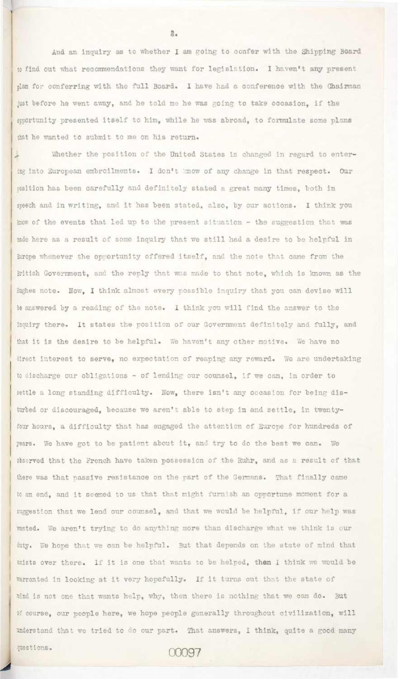And an inquiry as to whether I am going to confer with the Shipping Board to find out what recommendations they want for legislation. I haven't any present plan for conferring with the full Board. I have had a conference with the Chairman just before he went away, and he told me he was going to take occasion, if the opportunity presented itself to him, while he was abroad, to formulate some plans that he wanted to submit to me on his return.

Whether the position of the United States is changed in regard to entering into European embroilments. I don't know of any change in that respect. Our position has been carefully and definitely stated a great many times, both in speech and in writing, and it has been stated, also, by our actions. I think you know of the events that led up to the present situation - the suggestion that was made here as a result of some inquiry that we still had a desire to be helpful in Europe whenever the opportunity offered itself, and the note that came from the British Government, and the reply that was made to that note, which is known as the Hughes note. Now, I think almost every possible inquiry that you can devise will be answered by a reading of the note. I think you will find the answer to the inquiry there. It states the position of our Government definitely and fully, and that it is the desire to be helpful. We haven't any other motive. We have no direct interest to serve, no expectation of reaping any reward. We are undertaking to discharge our obligations  $-$  of lending our counsel, if we can, in order to settle a long standing difficulty. Now, there isn't any occasion for being disturbed or discouraged, because we aren't able to step in and settle, in twentyfour hours, a difficulty that has engaged the attention of Europe for hundreds of years. We have got to be patient about it, and try to do the best we can. We observed that the French have taken possession of the Ruhr, and as a result of that there was that passive resistance on the part of the Germans. That finally came to an end, and it seemed to us that that might furnish an opportune moment for a suggestion that we lend our counsel, and that we would be helpful, if our help was

2.

wanted. We aren't trying to do anything more than discharge what we think is our duty. We hope that we can be helpful. But that depends on the state of mind that exists over there. If it is one that wants to be helped, then I think we would be Warranted in looking at it very hopefully. If it turns out that the state of mind is not one that wants help, why, then there is nothing that we can do. But of course, our people here, we hope people generally throughout civilization, will understand that we tried to do our part. That answers, I think, quite a good many questions. 00097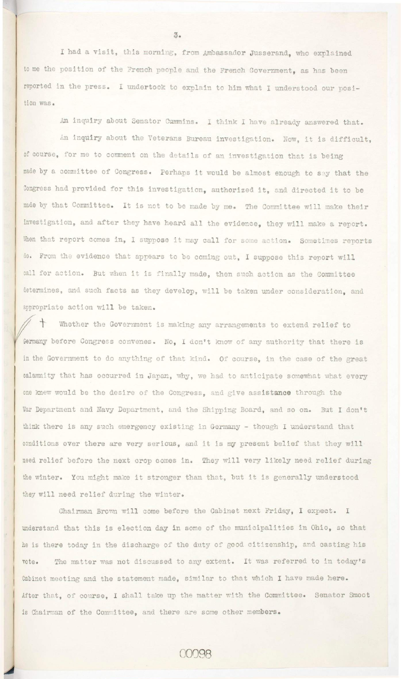I had a visit, this morning, from Ambassador Jusserand, who explained to me the position of the French people and the French Government, as has been reported in the press. I undertook to explain to him what I understood our position was.

An inquiry about Senator Cummins. I think I have already answered that.

An inquiry about the Veterans Bureau investigation. Now, it is difficult, of course, for me to comment on the details of an investigation that is being made by a committee of Congress. Perhaps it would be almost enough to say that the Congress had provided for this investigation, authorized it, and directed it to be made by that Committee. It is not to be made by me. The Committee will make their investigation, and after they have heard all the evidence, they will make a report. When that report comes in, I suppose it may call for some action. Sometimes reports do. From the evidence that appears to be coming out, I suppose this report will call for action. But when it is finally made, then such action as the Committee determines, and such facts as they develop, will be taken under consideration. and appropriate action will be taken.

Whether the Government is making any arrangements to extend relief to Germany before Congress convenes. No, I don't know of any authority that there is in the Government to do anything of that kind. Of course, in the case of the great calamnity that has occurred in Japan, why, we had to anticipate somewhat what every one knew would be the desire of the Congress, and give assistance through the War Department and Navy Department, and the Shipping Board, and so on. But I don't think there is any such emergency existing in Germany - though I understand that conditions over there are very serious, and it is my present belief that they will need relief before the next crop comes in. They will very likely need relief during the winter. You might make it stronger than that, but it is generally understood they will need relief during the winter.

Chairman Brown will come before the Cabinet next Friday, I expect. I

 $3.$ 

understand that this is election day in some of the municipalities in Ohio, so that he is there today in the discharge of the duty of good citizenship, and casting his vote. The matter was not discussed to any extent. It was referred to in today's Cabinet meeting and the statement made, similar to that which I have made here. After that, of course, I shall take up the matter with the Committee. Senator Smoot is Chairman of the Committee, and there are some other members.